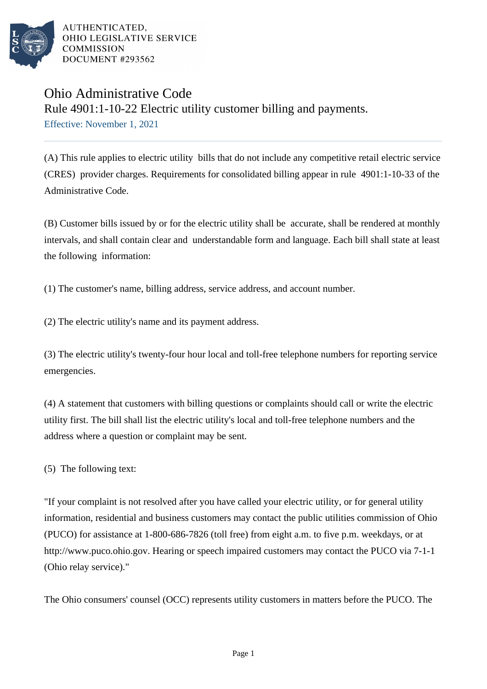

AUTHENTICATED. OHIO LEGISLATIVE SERVICE **COMMISSION** DOCUMENT #293562

## Ohio Administrative Code Rule 4901:1-10-22 Electric utility customer billing and payments. Effective: November 1, 2021

(A) This rule applies to electric utility bills that do not include any competitive retail electric service (CRES) provider charges. Requirements for consolidated billing appear in rule 4901:1-10-33 of the Administrative Code.

(B) Customer bills issued by or for the electric utility shall be accurate, shall be rendered at monthly intervals, and shall contain clear and understandable form and language. Each bill shall state at least the following information:

(1) The customer's name, billing address, service address, and account number.

(2) The electric utility's name and its payment address.

(3) The electric utility's twenty-four hour local and toll-free telephone numbers for reporting service emergencies.

(4) A statement that customers with billing questions or complaints should call or write the electric utility first. The bill shall list the electric utility's local and toll-free telephone numbers and the address where a question or complaint may be sent.

 $(5)$  The following text:

"If your complaint is not resolved after you have called your electric utility, or for general utility information, residential and business customers may contact the public utilities commission of Ohio (PUCO) for assistance at  $1-800-686-7826$  (toll free) from eight a.m. to five p.m. weekdays, or at http://www.puco.ohio.gov. Hearing or speech impaired customers may contact the PUCO via 7-1-1 (Ohio relay service)."

The Ohio consumers' counsel (OCC) represents utility customers in matters before the PUCO. The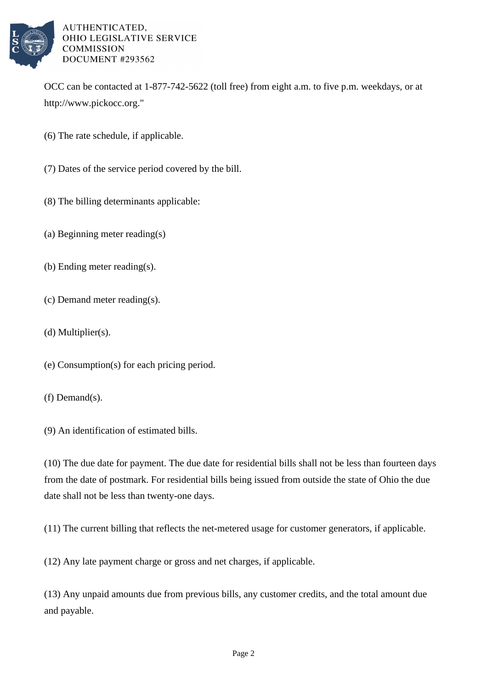

## AUTHENTICATED, OHIO LEGISLATIVE SERVICE **COMMISSION** DOCUMENT #293562

OCC can be contacted at 1-877-742-5622 (toll free) from eight a.m. to five p.m. weekdays, or at http://www.pickocc.org."

- (6) The rate schedule, if applicable.
- (7) Dates of the service period covered by the bill.
- (8) The billing determinants applicable:
- (a) Beginning meter reading(s)
- (b) Ending meter reading(s).
- (c) Demand meter reading(s).
- (d) Multiplier(s).
- (e) Consumption(s) for each pricing period.
- (f) Demand(s).
- (9) An identification of estimated bills.

 $(10)$  The due date for payment. The due date for residential bills shall not be less than fourteen days from the date of postmark. For residential bills being issued from outside the state of Ohio the due date shall not be less than twenty-one days.

 $(11)$  The current billing that reflects the net-metered usage for customer generators, if applicable.

(12) Any late payment charge or gross and net charges, if applicable.

(13) Any unpaid amounts due from previous bills, any customer credits, and the total amount due and payable.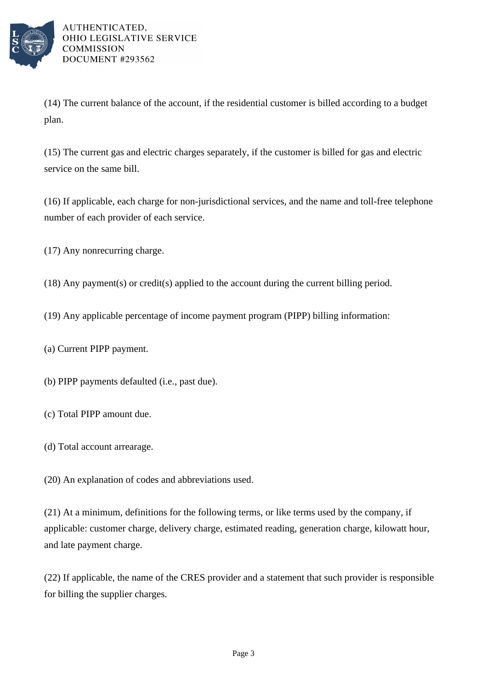

AUTHENTICATED, OHIO LEGISLATIVE SERVICE **COMMISSION** DOCUMENT #293562

(14) The current balance of the account, if the residential customer is billed according to a budget plan.

(15) The current gas and electric charges separately, if the customer is billed for gas and electric service on the same bill.

(16) If applicable, each charge for non-jurisdictional services, and the name and toll-free telephone number of each provider of each service.

 $(17)$  Any nonrecurring charge.

(18) Any payment(s) or  $\text{credit}(s)$  applied to the account during the current billing period.

- (19) Any applicable percentage of income payment program (PIPP) billing information:
- (a) Current PIPP payment.

(b) PIPP payments defaulted (i.e., past due).

- (c) Total PIPP amount due.
- (d) Total account arrearage.

(20) An explanation of codes and abbreviations used.

 $(21)$  At a minimum, definitions for the following terms, or like terms used by the company, if applicable: customer charge, delivery charge, estimated reading, generation charge, kilowatt hour, and late payment charge.

(22) If applicable, the name of the CRES provider and a statement that such provider is responsible for billing the supplier charges.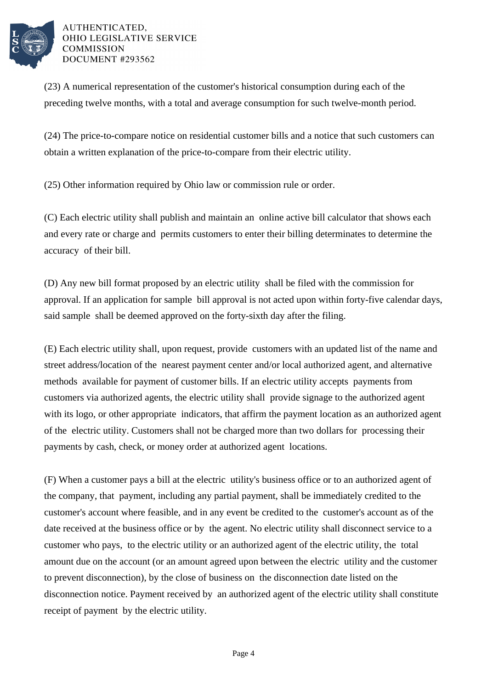

## AUTHENTICATED. OHIO LEGISLATIVE SERVICE **COMMISSION** DOCUMENT #293562

(23) A numerical representation of the customer's historical consumption during each of the preceding twelve months, with a total and average consumption for such twelve-month period.

(24) The price-to-compare notice on residential customer bills and a notice that such customers can obtain a written explanation of the price-to-compare from their electric utility.

(25) Other information required by Ohio law or commission rule or order.

(C) Each electric utility shall publish and maintain an online active bill calculator that shows each and every rate or charge and permits customers to enter their billing determinates to determine the accuracy of their bill.

(D) Any new bill format proposed by an electric utility shall be filed with the commission for approval. If an application for sample bill approval is not acted upon within forty-five calendar days, said sample shall be deemed approved on the forty-sixth day after the filing.

(E) Each electric utility shall, upon request, provide customers with an updated list of the name and street address/location of the nearest payment center and/or local authorized agent, and alternative methods available for payment of customer bills. If an electric utility accepts payments from customers via authorized agents, the electric utility shall provide signage to the authorized agent with its logo, or other appropriate indicators, that affirm the payment location as an authorized agent of the electric utility. Customers shall not be charged more than two dollars for processing their payments by cash, check, or money order at authorized agent locations.

(F) When a customer pays a bill at the electric utility's business office or to an authorized agent of the company, that payment, including any partial payment, shall be immediately credited to the customer's account where feasible, and in any event be credited to the customer's account as of the date received at the business office or by the agent. No electric utility shall disconnect service to a customer who pays, to the electric utility or an authorized agent of the electric utility, the total amount due on the account (or an amount agreed upon between the electric utility and the customer to prevent disconnection), by the close of business on the disconnection date listed on the disconnection notice. Payment received by an authorized agent of the electric utility shall constitute receipt of payment by the electric utility.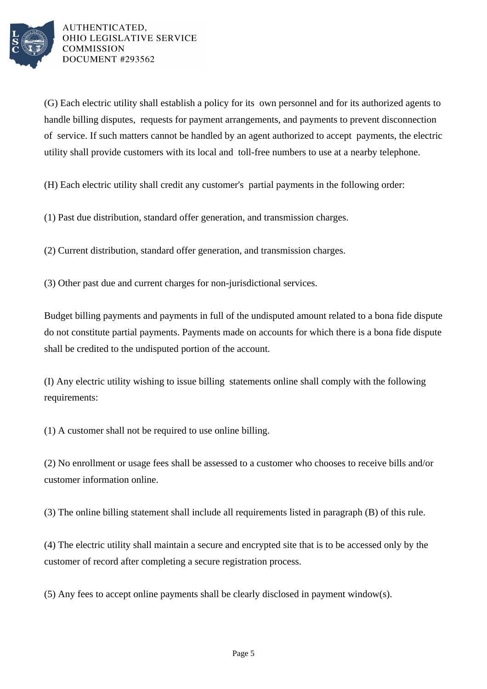

AUTHENTICATED. OHIO LEGISLATIVE SERVICE **COMMISSION** DOCUMENT #293562

(G) Each electric utility shall establish a policy for its own personnel and for its authorized agents to handle billing disputes, requests for payment arrangements, and payments to prevent disconnection of service. If such matters cannot be handled by an agent authorized to accept payments, the electric utility shall provide customers with its local and toll-free numbers to use at a nearby telephone.

(H) Each electric utility shall credit any customer's partial payments in the following order:

(1) Past due distribution, standard offer generation, and transmission charges.

(2) Current distribution, standard offer generation, and transmission charges.

(3) Other past due and current charges for non-jurisdictional services.

Budget billing payments and payments in full of the undisputed amount related to a bona fide dispute do not constitute partial payments. Payments made on accounts for which there is a bona fide dispute shall be credited to the undisputed portion of the account.

(I) Any electric utility wishing to issue billing statements online shall comply with the following requirements:

 $(1)$  A customer shall not be required to use online billing.

(2) No enrollment or usage fees shall be assessed to a customer who chooses to receive bills and/or customer information online.

 $(3)$  The online billing statement shall include all requirements listed in paragraph  $(B)$  of this rule.

(4) The electric utility shall maintain a secure and encrypted site that is to be accessed only by the customer of record after completing a secure registration process.

 $(5)$  Any fees to accept online payments shall be clearly disclosed in payment window(s).